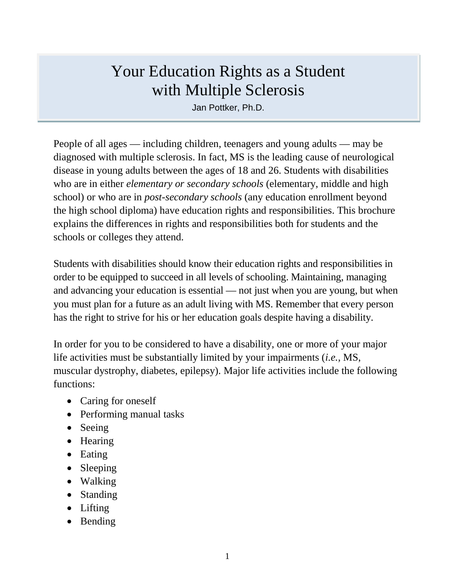# Your Education Rights as a Student with Multiple Sclerosis

Jan Pottker, Ph.D.

People of all ages — including children, teenagers and young adults — may be diagnosed with multiple sclerosis. In fact, MS is the leading cause of neurological disease in young adults between the ages of 18 and 26. Students with disabilities who are in either *elementary or secondary schools* (elementary, middle and high school) or who are in *post-secondary schools* (any education enrollment beyond the high school diploma) have education rights and responsibilities. This brochure explains the differences in rights and responsibilities both for students and the schools or colleges they attend.

Students with disabilities should know their education rights and responsibilities in order to be equipped to succeed in all levels of schooling. Maintaining, managing and advancing your education is essential — not just when you are young, but when you must plan for a future as an adult living with MS. Remember that every person has the right to strive for his or her education goals despite having a disability.

In order for you to be considered to have a disability, one or more of your major life activities must be substantially limited by your impairments (*i.e.,* MS, muscular dystrophy, diabetes, epilepsy). Major life activities include the following functions:

- Caring for oneself
- Performing manual tasks
- Seeing
- Hearing
- Eating
- Sleeping
- Walking
- Standing
- Lifting
- Bending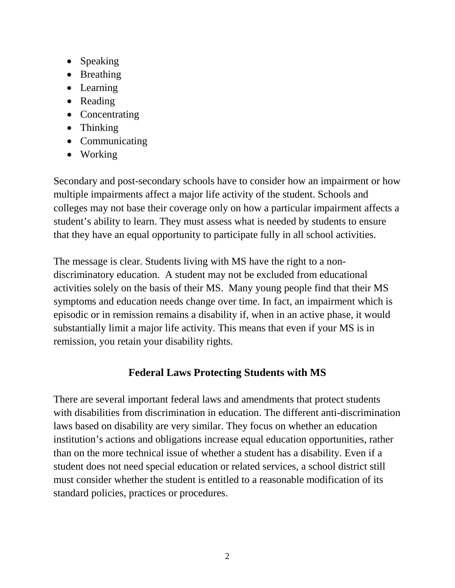- Speaking
- Breathing
- Learning
- Reading
- Concentrating
- Thinking
- Communicating
- Working

Secondary and post-secondary schools have to consider how an impairment or how multiple impairments affect a major life activity of the student. Schools and colleges may not base their coverage only on how a particular impairment affects a student's ability to learn. They must assess what is needed by students to ensure that they have an equal opportunity to participate fully in all school activities.

The message is clear. Students living with MS have the right to a nondiscriminatory education. A student may not be excluded from educational activities solely on the basis of their MS. Many young people find that their MS symptoms and education needs change over time. In fact, an impairment which is episodic or in remission remains a disability if, when in an active phase, it would substantially limit a major life activity. This means that even if your MS is in remission, you retain your disability rights.

# **Federal Laws Protecting Students with MS**

There are several important federal laws and amendments that protect students with disabilities from discrimination in education. The different anti-discrimination laws based on disability are very similar. They focus on whether an education institution's actions and obligations increase equal education opportunities, rather than on the more technical issue of whether a student has a disability. Even if a student does not need special education or related services, a school district still must consider whether the student is entitled to a reasonable modification of its standard policies, practices or procedures.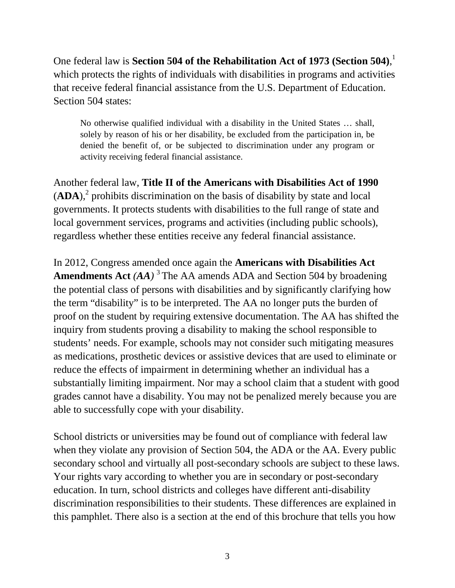One federal law is **Section 504 of the Rehabilitation Act of 1973 (Section 504)**, 1 which protects the rights of individuals with disabilities in programs and activities that receive federal financial assistance from the U.S. Department of Education. Section 504 states:

No otherwise qualified individual with a disability in the United States … shall, solely by reason of his or her disability, be excluded from the participation in, be denied the benefit of, or be subjected to discrimination under any program or activity receiving federal financial assistance.

Another federal law, **Title II of the Americans with Disabilities Act of 1990**   $(ADA)$ ,<sup>2</sup> prohibits discrimination on the basis of disability by state and local governments. It protects students with disabilities to the full range of state and local government services, programs and activities (including public schools), regardless whether these entities receive any federal financial assistance.

In 2012, Congress amended once again the **Americans with Disabilities Act Amendments Act** *(AA)* <sup>3</sup> The AA amends ADA and Section 504 by broadening the potential class of persons with disabilities and by significantly clarifying how the term "disability" is to be interpreted. The AA no longer puts the burden of proof on the student by requiring extensive documentation. The AA has shifted the inquiry from students proving a disability to making the school responsible to students' needs. For example, schools may not consider such mitigating measures as medications, prosthetic devices or assistive devices that are used to eliminate or reduce the effects of impairment in determining whether an individual has a substantially limiting impairment. Nor may a school claim that a student with good grades cannot have a disability. You may not be penalized merely because you are able to successfully cope with your disability.

School districts or universities may be found out of compliance with federal law when they violate any provision of Section 504, the ADA or the AA. Every public secondary school and virtually all post-secondary schools are subject to these laws. Your rights vary according to whether you are in secondary or post-secondary education. In turn, school districts and colleges have different anti-disability discrimination responsibilities to their students. These differences are explained in this pamphlet. There also is a section at the end of this brochure that tells you how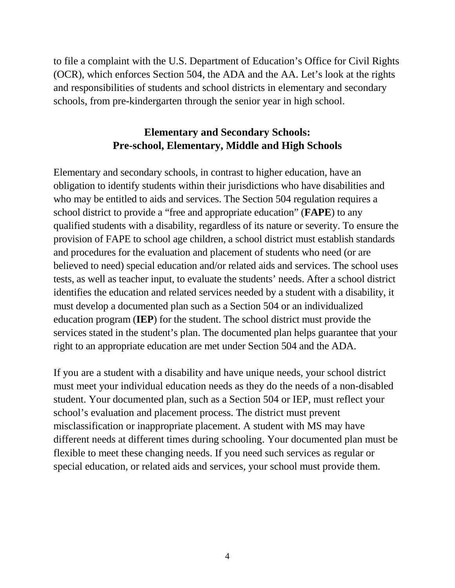to file a complaint with the U.S. Department of Education's Office for Civil Rights (OCR), which enforces Section 504, the ADA and the AA. Let's look at the rights and responsibilities of students and school districts in elementary and secondary schools, from pre-kindergarten through the senior year in high school.

## **Elementary and Secondary Schools: Pre-school, Elementary, Middle and High Schools**

Elementary and secondary schools, in contrast to higher education, have an obligation to identify students within their jurisdictions who have disabilities and who may be entitled to aids and services. The Section 504 regulation requires a school district to provide a "free and appropriate education" (**FAPE**) to any qualified students with a disability, regardless of its nature or severity. To ensure the provision of FAPE to school age children, a school district must establish standards and procedures for the evaluation and placement of students who need (or are believed to need) special education and/or related aids and services. The school uses tests, as well as teacher input, to evaluate the students' needs. After a school district identifies the education and related services needed by a student with a disability, it must develop a documented plan such as a Section 504 or an individualized education program (**IEP**) for the student. The school district must provide the services stated in the student's plan. The documented plan helps guarantee that your right to an appropriate education are met under Section 504 and the ADA.

If you are a student with a disability and have unique needs, your school district must meet your individual education needs as they do the needs of a non-disabled student. Your documented plan, such as a Section 504 or IEP, must reflect your school's evaluation and placement process. The district must prevent misclassification or inappropriate placement. A student with MS may have different needs at different times during schooling. Your documented plan must be flexible to meet these changing needs. If you need such services as regular or special education, or related aids and services, your school must provide them.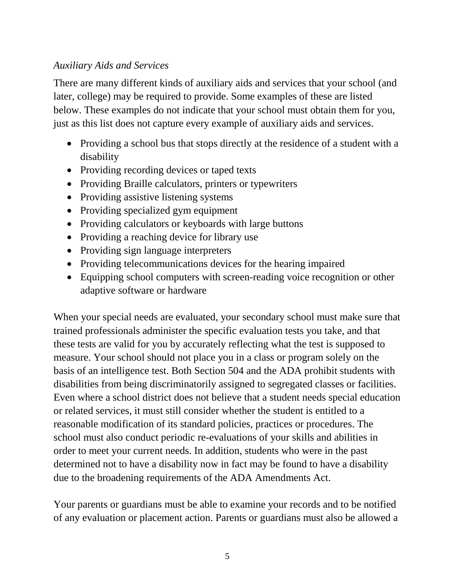### *Auxiliary Aids and Services*

There are many different kinds of auxiliary aids and services that your school (and later, college) may be required to provide. Some examples of these are listed below. These examples do not indicate that your school must obtain them for you, just as this list does not capture every example of auxiliary aids and services.

- Providing a school bus that stops directly at the residence of a student with a disability
- Providing recording devices or taped texts
- Providing Braille calculators, printers or typewriters
- Providing assistive listening systems
- Providing specialized gym equipment
- Providing calculators or keyboards with large buttons
- Providing a reaching device for library use
- Providing sign language interpreters
- Providing telecommunications devices for the hearing impaired
- Equipping school computers with screen-reading voice recognition or other adaptive software or hardware

When your special needs are evaluated, your secondary school must make sure that trained professionals administer the specific evaluation tests you take, and that these tests are valid for you by accurately reflecting what the test is supposed to measure. Your school should not place you in a class or program solely on the basis of an intelligence test. Both Section 504 and the ADA prohibit students with disabilities from being discriminatorily assigned to segregated classes or facilities. Even where a school district does not believe that a student needs special education or related services, it must still consider whether the student is entitled to a reasonable modification of its standard policies, practices or procedures. The school must also conduct periodic re-evaluations of your skills and abilities in order to meet your current needs. In addition, students who were in the past determined not to have a disability now in fact may be found to have a disability due to the broadening requirements of the ADA Amendments Act.

Your parents or guardians must be able to examine your records and to be notified of any evaluation or placement action. Parents or guardians must also be allowed a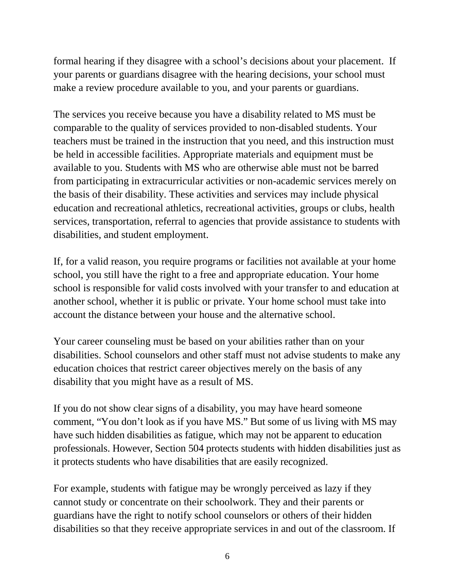formal hearing if they disagree with a school's decisions about your placement. If your parents or guardians disagree with the hearing decisions, your school must make a review procedure available to you, and your parents or guardians.

The services you receive because you have a disability related to MS must be comparable to the quality of services provided to non-disabled students. Your teachers must be trained in the instruction that you need, and this instruction must be held in accessible facilities. Appropriate materials and equipment must be available to you. Students with MS who are otherwise able must not be barred from participating in extracurricular activities or non-academic services merely on the basis of their disability. These activities and services may include physical education and recreational athletics, recreational activities, groups or clubs, health services, transportation, referral to agencies that provide assistance to students with disabilities, and student employment.

If, for a valid reason, you require programs or facilities not available at your home school, you still have the right to a free and appropriate education. Your home school is responsible for valid costs involved with your transfer to and education at another school, whether it is public or private. Your home school must take into account the distance between your house and the alternative school.

Your career counseling must be based on your abilities rather than on your disabilities. School counselors and other staff must not advise students to make any education choices that restrict career objectives merely on the basis of any disability that you might have as a result of MS.

If you do not show clear signs of a disability, you may have heard someone comment, "You don't look as if you have MS." But some of us living with MS may have such hidden disabilities as fatigue, which may not be apparent to education professionals. However, Section 504 protects students with hidden disabilities just as it protects students who have disabilities that are easily recognized.

For example, students with fatigue may be wrongly perceived as lazy if they cannot study or concentrate on their schoolwork. They and their parents or guardians have the right to notify school counselors or others of their hidden disabilities so that they receive appropriate services in and out of the classroom. If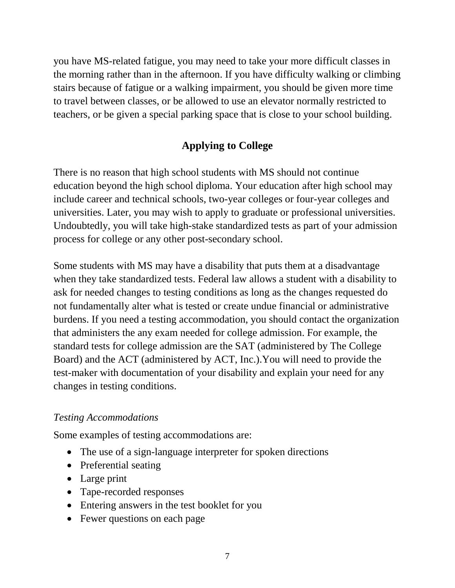you have MS-related fatigue, you may need to take your more difficult classes in the morning rather than in the afternoon. If you have difficulty walking or climbing stairs because of fatigue or a walking impairment, you should be given more time to travel between classes, or be allowed to use an elevator normally restricted to teachers, or be given a special parking space that is close to your school building.

# **Applying to College**

There is no reason that high school students with MS should not continue education beyond the high school diploma. Your education after high school may include career and technical schools, two-year colleges or four-year colleges and universities. Later, you may wish to apply to graduate or professional universities. Undoubtedly, you will take high-stake standardized tests as part of your admission process for college or any other post-secondary school.

Some students with MS may have a disability that puts them at a disadvantage when they take standardized tests. Federal law allows a student with a disability to ask for needed changes to testing conditions as long as the changes requested do not fundamentally alter what is tested or create undue financial or administrative burdens. If you need a testing accommodation, you should contact the organization that administers the any exam needed for college admission. For example, the standard tests for college admission are the SAT (administered by The College Board) and the ACT (administered by ACT, Inc.).You will need to provide the test-maker with documentation of your disability and explain your need for any changes in testing conditions.

### *Testing Accommodations*

Some examples of testing accommodations are:

- The use of a sign-language interpreter for spoken directions
- Preferential seating
- Large print
- Tape-recorded responses
- Entering answers in the test booklet for you
- Fewer questions on each page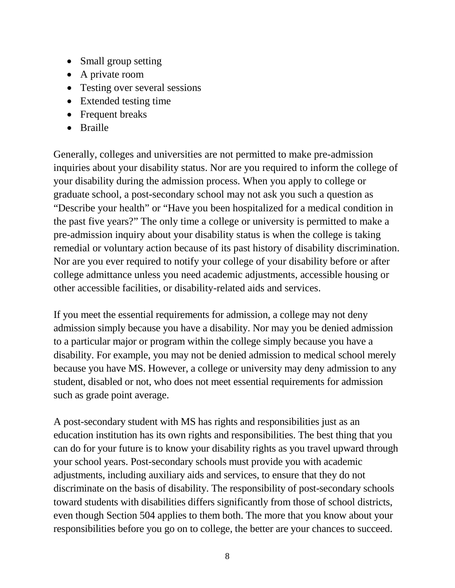- Small group setting
- A private room
- Testing over several sessions
- Extended testing time
- Frequent breaks
- Braille

Generally, colleges and universities are not permitted to make pre-admission inquiries about your disability status. Nor are you required to inform the college of your disability during the admission process. When you apply to college or graduate school, a post-secondary school may not ask you such a question as "Describe your health" or "Have you been hospitalized for a medical condition in the past five years?" The only time a college or university is permitted to make a pre-admission inquiry about your disability status is when the college is taking remedial or voluntary action because of its past history of disability discrimination. Nor are you ever required to notify your college of your disability before or after college admittance unless you need academic adjustments, accessible housing or other accessible facilities, or disability-related aids and services.

If you meet the essential requirements for admission, a college may not deny admission simply because you have a disability. Nor may you be denied admission to a particular major or program within the college simply because you have a disability. For example, you may not be denied admission to medical school merely because you have MS. However, a college or university may deny admission to any student, disabled or not, who does not meet essential requirements for admission such as grade point average.

A post-secondary student with MS has rights and responsibilities just as an education institution has its own rights and responsibilities. The best thing that you can do for your future is to know your disability rights as you travel upward through your school years. Post-secondary schools must provide you with academic adjustments, including auxiliary aids and services, to ensure that they do not discriminate on the basis of disability. The responsibility of post-secondary schools toward students with disabilities differs significantly from those of school districts, even though Section 504 applies to them both. The more that you know about your responsibilities before you go on to college, the better are your chances to succeed.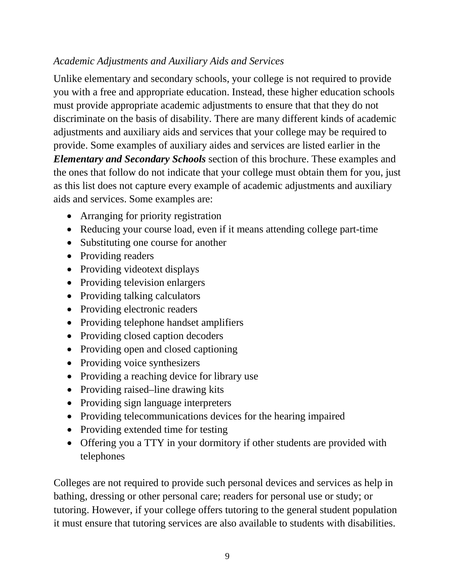# *Academic Adjustments and Auxiliary Aids and Services*

Unlike elementary and secondary schools, your college is not required to provide you with a free and appropriate education. Instead, these higher education schools must provide appropriate academic adjustments to ensure that that they do not discriminate on the basis of disability. There are many different kinds of academic adjustments and auxiliary aids and services that your college may be required to provide. Some examples of auxiliary aides and services are listed earlier in the *Elementary and Secondary Schools* section of this brochure. These examples and the ones that follow do not indicate that your college must obtain them for you, just as this list does not capture every example of academic adjustments and auxiliary aids and services. Some examples are:

- Arranging for priority registration
- Reducing your course load, even if it means attending college part-time
- Substituting one course for another
- Providing readers
- Providing videotext displays
- Providing television enlargers
- Providing talking calculators
- Providing electronic readers
- Providing telephone handset amplifiers
- Providing closed caption decoders
- Providing open and closed captioning
- Providing voice synthesizers
- Providing a reaching device for library use
- Providing raised–line drawing kits
- Providing sign language interpreters
- Providing telecommunications devices for the hearing impaired
- Providing extended time for testing
- Offering you a TTY in your dormitory if other students are provided with telephones

Colleges are not required to provide such personal devices and services as help in bathing, dressing or other personal care; readers for personal use or study; or tutoring. However, if your college offers tutoring to the general student population it must ensure that tutoring services are also available to students with disabilities.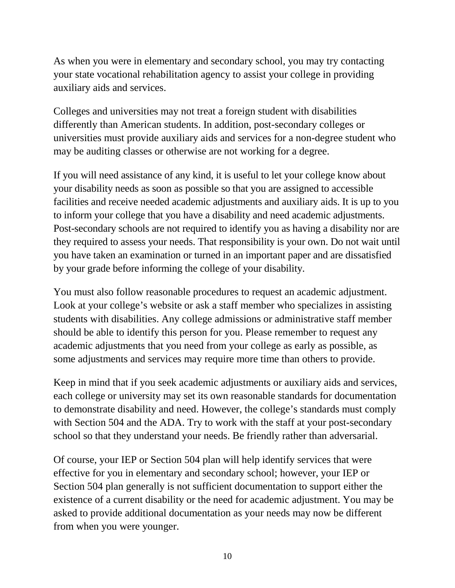As when you were in elementary and secondary school, you may try contacting your state vocational rehabilitation agency to assist your college in providing auxiliary aids and services.

Colleges and universities may not treat a foreign student with disabilities differently than American students. In addition, post-secondary colleges or universities must provide auxiliary aids and services for a non-degree student who may be auditing classes or otherwise are not working for a degree.

If you will need assistance of any kind, it is useful to let your college know about your disability needs as soon as possible so that you are assigned to accessible facilities and receive needed academic adjustments and auxiliary aids. It is up to you to inform your college that you have a disability and need academic adjustments. Post-secondary schools are not required to identify you as having a disability nor are they required to assess your needs. That responsibility is your own. Do not wait until you have taken an examination or turned in an important paper and are dissatisfied by your grade before informing the college of your disability.

You must also follow reasonable procedures to request an academic adjustment. Look at your college's website or ask a staff member who specializes in assisting students with disabilities. Any college admissions or administrative staff member should be able to identify this person for you. Please remember to request any academic adjustments that you need from your college as early as possible, as some adjustments and services may require more time than others to provide.

Keep in mind that if you seek academic adjustments or auxiliary aids and services, each college or university may set its own reasonable standards for documentation to demonstrate disability and need. However, the college's standards must comply with Section 504 and the ADA. Try to work with the staff at your post-secondary school so that they understand your needs. Be friendly rather than adversarial.

Of course, your IEP or Section 504 plan will help identify services that were effective for you in elementary and secondary school; however, your IEP or Section 504 plan generally is not sufficient documentation to support either the existence of a current disability or the need for academic adjustment. You may be asked to provide additional documentation as your needs may now be different from when you were younger.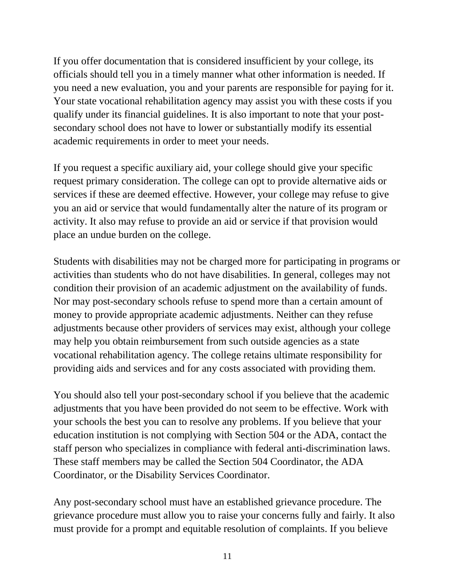If you offer documentation that is considered insufficient by your college, its officials should tell you in a timely manner what other information is needed. If you need a new evaluation, you and your parents are responsible for paying for it. Your state vocational rehabilitation agency may assist you with these costs if you qualify under its financial guidelines. It is also important to note that your postsecondary school does not have to lower or substantially modify its essential academic requirements in order to meet your needs.

If you request a specific auxiliary aid, your college should give your specific request primary consideration. The college can opt to provide alternative aids or services if these are deemed effective. However, your college may refuse to give you an aid or service that would fundamentally alter the nature of its program or activity. It also may refuse to provide an aid or service if that provision would place an undue burden on the college.

Students with disabilities may not be charged more for participating in programs or activities than students who do not have disabilities. In general, colleges may not condition their provision of an academic adjustment on the availability of funds. Nor may post-secondary schools refuse to spend more than a certain amount of money to provide appropriate academic adjustments. Neither can they refuse adjustments because other providers of services may exist, although your college may help you obtain reimbursement from such outside agencies as a state vocational rehabilitation agency. The college retains ultimate responsibility for providing aids and services and for any costs associated with providing them.

You should also tell your post-secondary school if you believe that the academic adjustments that you have been provided do not seem to be effective. Work with your schools the best you can to resolve any problems. If you believe that your education institution is not complying with Section 504 or the ADA, contact the staff person who specializes in compliance with federal anti-discrimination laws. These staff members may be called the Section 504 Coordinator, the ADA Coordinator, or the Disability Services Coordinator.

Any post-secondary school must have an established grievance procedure. The grievance procedure must allow you to raise your concerns fully and fairly. It also must provide for a prompt and equitable resolution of complaints. If you believe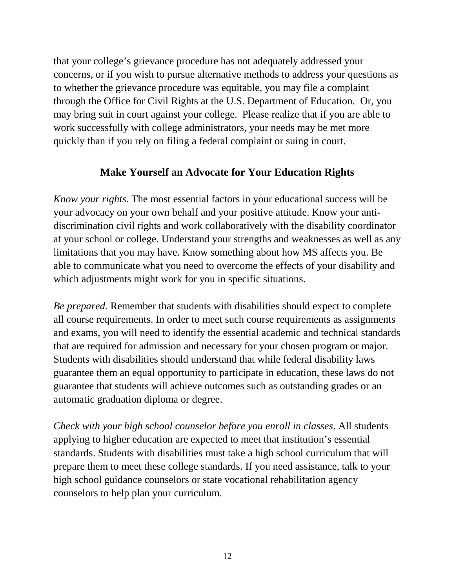that your college's grievance procedure has not adequately addressed your concerns, or if you wish to pursue alternative methods to address your questions as to whether the grievance procedure was equitable, you may file a complaint through the Office for Civil Rights at the U.S. Department of Education. Or, you may bring suit in court against your college. Please realize that if you are able to work successfully with college administrators, your needs may be met more quickly than if you rely on filing a federal complaint or suing in court.

#### **Make Yourself an Advocate for Your Education Rights**

*Know your rights.* The most essential factors in your educational success will be your advocacy on your own behalf and your positive attitude. Know your antidiscrimination civil rights and work collaboratively with the disability coordinator at your school or college. Understand your strengths and weaknesses as well as any limitations that you may have. Know something about how MS affects you. Be able to communicate what you need to overcome the effects of your disability and which adjustments might work for you in specific situations.

*Be prepared.* Remember that students with disabilities should expect to complete all course requirements. In order to meet such course requirements as assignments and exams, you will need to identify the essential academic and technical standards that are required for admission and necessary for your chosen program or major. Students with disabilities should understand that while federal disability laws guarantee them an equal opportunity to participate in education, these laws do not guarantee that students will achieve outcomes such as outstanding grades or an automatic graduation diploma or degree.

*Check with your high school counselor before you enroll in classes*. All students applying to higher education are expected to meet that institution's essential standards. Students with disabilities must take a high school curriculum that will prepare them to meet these college standards. If you need assistance, talk to your high school guidance counselors or state vocational rehabilitation agency counselors to help plan your curriculum.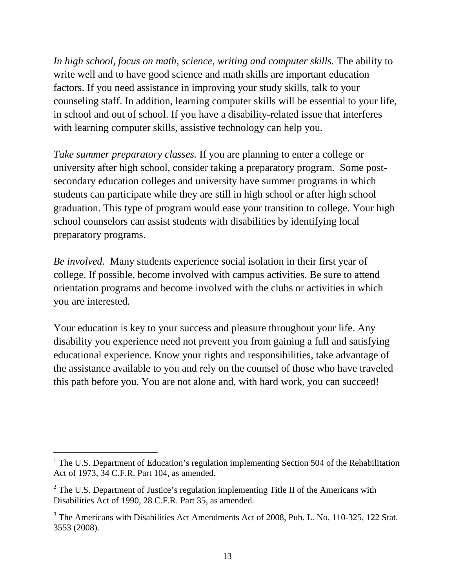*In high school, focus on math, science, writing and computer skills.* The ability to write well and to have good science and math skills are important education factors. If you need assistance in improving your study skills, talk to your counseling staff. In addition, learning computer skills will be essential to your life, in school and out of school. If you have a disability-related issue that interferes with learning computer skills, assistive technology can help you.

*Take summer preparatory classes.* If you are planning to enter a college or university after high school, consider taking a preparatory program. Some postsecondary education colleges and university have summer programs in which students can participate while they are still in high school or after high school graduation. This type of program would ease your transition to college. Your high school counselors can assist students with disabilities by identifying local preparatory programs.

*Be involved.* Many students experience social isolation in their first year of college. If possible, become involved with campus activities. Be sure to attend orientation programs and become involved with the clubs or activities in which you are interested.

Your education is key to your success and pleasure throughout your life. Any disability you experience need not prevent you from gaining a full and satisfying educational experience. Know your rights and responsibilities, take advantage of the assistance available to you and rely on the counsel of those who have traveled this path before you. You are not alone and, with hard work, you can succeed!

\_\_\_\_\_\_\_\_\_\_\_\_\_\_\_\_\_\_\_\_

 $1$  The U.S. Department of Education's regulation implementing Section 504 of the Rehabilitation Act of 1973, 34 C.F.R. Part 104, as amended.

 $2^{\circ}$  The U.S. Department of Justice's regulation implementing Title II of the Americans with Disabilities Act of 1990, 28 C.F.R. Part 35, as amended.

<sup>&</sup>lt;sup>3</sup> The Americans with Disabilities Act Amendments Act of 2008, Pub. L. No. 110-325, 122 Stat. 3553 (2008).